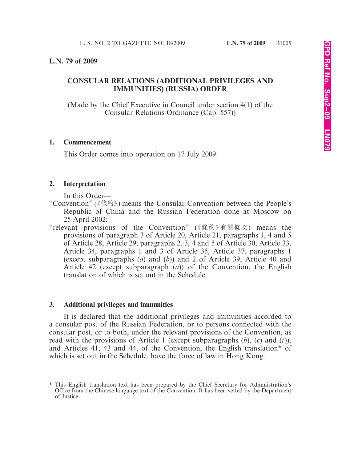### **L.N. 79 of 2009**

## **CONSULAR RELATIONS (ADDITIONAL PRIVILEGES AND IMMUNITIES) (RUSSIA) ORDER**

(Made by the Chief Executive in Council under section 4(1) of the Consular Relations Ordinance (Cap. 557))

### **1. Commencement**

This Order comes into operation on 17 July 2009.

### **2. Interpretation**

In this Order—

- "Convention" (《條約》) means the Consular Convention between the People's Republic of China and the Russian Federation done at Moscow on 25 April 2002;
- "relevant provisions of the Convention" (《條約》有關條文) means the provisions of paragraph 3 of Article 20, Article 21, paragraphs 1, 4 and 5 of Article 28, Article 29, paragraphs 2, 3, 4 and 5 of Article 30, Article 33, Article 34, paragraphs 1 and 3 of Article 35, Article 37, paragraphs 1 (except subparagraphs (*a*) and (*b*)) and 2 of Article 39, Article 40 and Article 42 (except subparagraph (*a*)) of the Convention, the English translation of which is set out in the Schedule.

### **3. Additional privileges and immunities**

It is declared that the additional privileges and immunities accorded to a consular post of the Russian Federation, or to persons connected with the consular post, or to both, under the relevant provisions of the Convention, as read with the provisions of Article 1 (except subparagraphs (*b*), (*c*) and (*i*)), and Articles 41, 43 and 44, of the Convention, the English translation\* of which is set out in the Schedule, have the force of law in Hong Kong.

<sup>\*</sup> This English translation text has been prepared by the Chief Secretary for Administration's Office from the Chinese language text of the Convention. It has been vetted by the Department of Justice.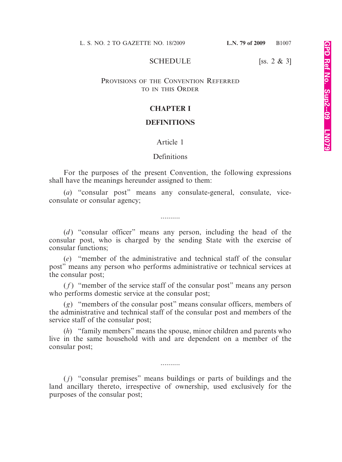#### SCHEDULE [ss. 2 & 3]

### PROVISIONS OF THE CONVENTION REFERRED TO IN THIS ORDER

### **CHAPTER I**

### **DEFINITIONS**

#### Article 1

#### **Definitions**

For the purposes of the present Convention, the following expressions shall have the meanings hereunder assigned to them:

(*a*) "consular post" means any consulate-general, consulate, viceconsulate or consular agency;

..........

(*d* ) "consular officer" means any person, including the head of the consular post, who is charged by the sending State with the exercise of consular functions;

(*e*) "member of the administrative and technical staff of the consular post" means any person who performs administrative or technical services at the consular post;

 $(f)$  "member of the service staff of the consular post" means any person who performs domestic service at the consular post;

(*g*) "members of the consular post" means consular officers, members of the administrative and technical staff of the consular post and members of the service staff of the consular post;

(*h*) "family members" means the spouse, minor children and parents who live in the same household with and are dependent on a member of the consular post;

( *j*) "consular premises" means buildings or parts of buildings and the land ancillary thereto, irrespective of ownership, used exclusively for the purposes of the consular post;

..........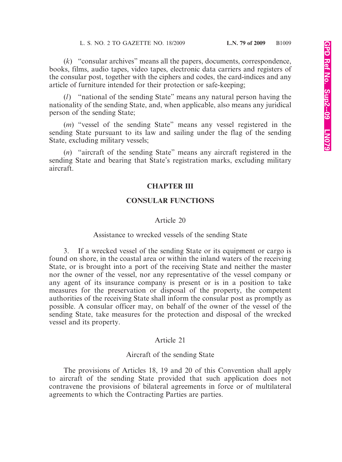(*k*) "consular archives" means all the papers, documents, correspondence, books, films, audio tapes, video tapes, electronic data carriers and registers of the consular post, together with the ciphers and codes, the card-indices and any article of furniture intended for their protection or safe-keeping;

(*l*) "national of the sending State" means any natural person having the nationality of the sending State, and, when applicable, also means any juridical person of the sending State;

(*m*) "vessel of the sending State" means any vessel registered in the sending State pursuant to its law and sailing under the flag of the sending State, excluding military vessels;

(*n*) "aircraft of the sending State" means any aircraft registered in the sending State and bearing that State's registration marks, excluding military aircraft.

### **CHAPTER III**

## **CONSULAR FUNCTIONS**

#### Article 20

#### Assistance to wrecked vessels of the sending State

3. If a wrecked vessel of the sending State or its equipment or cargo is found on shore, in the coastal area or within the inland waters of the receiving State, or is brought into a port of the receiving State and neither the master nor the owner of the vessel, nor any representative of the vessel company or any agent of its insurance company is present or is in a position to take measures for the preservation or disposal of the property, the competent authorities of the receiving State shall inform the consular post as promptly as possible. A consular officer may, on behalf of the owner of the vessel of the sending State, take measures for the protection and disposal of the wrecked vessel and its property.

#### Article 21

#### Aircraft of the sending State

The provisions of Articles 18, 19 and 20 of this Convention shall apply to aircraft of the sending State provided that such application does not contravene the provisions of bilateral agreements in force or of multilateral agreements to which the Contracting Parties are parties.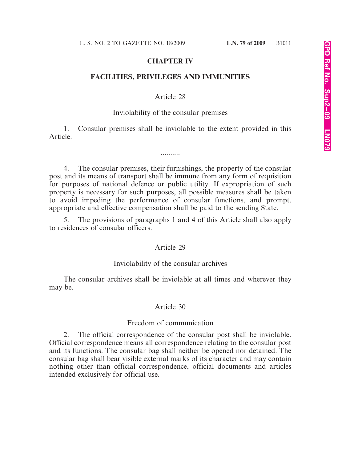# **CHAPTER IV**

## **FACILITIES, PRIVILEGES AND IMMUNITIES**

## Article 28

### Inviolability of the consular premises

1. Consular premises shall be inviolable to the extent provided in this Article.

..........

4. The consular premises, their furnishings, the property of the consular post and its means of transport shall be immune from any form of requisition for purposes of national defence or public utility. If expropriation of such property is necessary for such purposes, all possible measures shall be taken to avoid impeding the performance of consular functions, and prompt, appropriate and effective compensation shall be paid to the sending State.

The provisions of paragraphs 1 and 4 of this Article shall also apply to residences of consular officers.

### Article 29

### Inviolability of the consular archives

The consular archives shall be inviolable at all times and wherever they may be.

### Article 30

### Freedom of communication

2. The official correspondence of the consular post shall be inviolable. Official correspondence means all correspondence relating to the consular post and its functions. The consular bag shall neither be opened nor detained. The consular bag shall bear visible external marks of its character and may contain nothing other than official correspondence, official documents and articles intended exclusively for official use.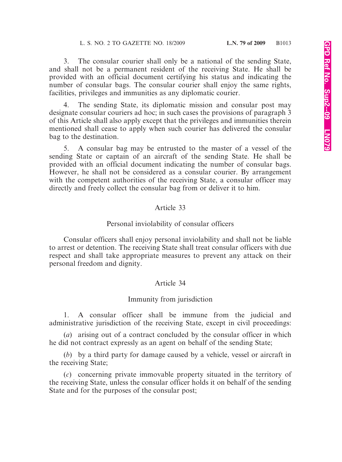3. The consular courier shall only be a national of the sending State, and shall not be a permanent resident of the receiving State. He shall be provided with an official document certifying his status and indicating the number of consular bags. The consular courier shall enjoy the same rights, facilities, privileges and immunities as any diplomatic courier.

4. The sending State, its diplomatic mission and consular post may designate consular couriers ad hoc; in such cases the provisions of paragraph 3 of this Article shall also apply except that the privileges and immunities therein mentioned shall cease to apply when such courier has delivered the consular bag to the destination.

5. A consular bag may be entrusted to the master of a vessel of the sending State or captain of an aircraft of the sending State. He shall be provided with an official document indicating the number of consular bags. However, he shall not be considered as a consular courier. By arrangement with the competent authorities of the receiving State, a consular officer may directly and freely collect the consular bag from or deliver it to him.

# Article 33

# Personal inviolability of consular officers

Consular officers shall enjoy personal inviolability and shall not be liable to arrest or detention. The receiving State shall treat consular officers with due respect and shall take appropriate measures to prevent any attack on their personal freedom and dignity.

# Article 34

# Immunity from jurisdiction

1. A consular officer shall be immune from the judicial and administrative jurisdiction of the receiving State, except in civil proceedings:

(*a*) arising out of a contract concluded by the consular officer in which he did not contract expressly as an agent on behalf of the sending State;

(*b*) by a third party for damage caused by a vehicle, vessel or aircraft in the receiving State;

(*c*) concerning private immovable property situated in the territory of the receiving State, unless the consular officer holds it on behalf of the sending State and for the purposes of the consular post;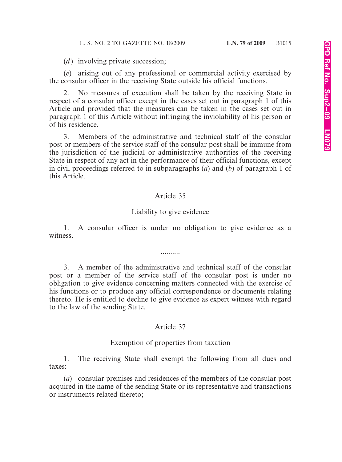(*d*) involving private succession;

(*e*) arising out of any professional or commercial activity exercised by the consular officer in the receiving State outside his official functions.

2. No measures of execution shall be taken by the receiving State in respect of a consular officer except in the cases set out in paragraph 1 of this Article and provided that the measures can be taken in the cases set out in paragraph 1 of this Article without infringing the inviolability of his person or of his residence.

3. Members of the administrative and technical staff of the consular post or members of the service staff of the consular post shall be immune from the jurisdiction of the judicial or administrative authorities of the receiving State in respect of any act in the performance of their official functions, except in civil proceedings referred to in subparagraphs (*a*) and (*b*) of paragraph 1 of this Article.

# Article 35

# Liability to give evidence

1. A consular officer is under no obligation to give evidence as a witness.

..........

3. A member of the administrative and technical staff of the consular post or a member of the service staff of the consular post is under no obligation to give evidence concerning matters connected with the exercise of his functions or to produce any official correspondence or documents relating thereto. He is entitled to decline to give evidence as expert witness with regard to the law of the sending State.

# Article 37

# Exemption of properties from taxation

1. The receiving State shall exempt the following from all dues and taxes:

(*a*) consular premises and residences of the members of the consular post acquired in the name of the sending State or its representative and transactions or instruments related thereto;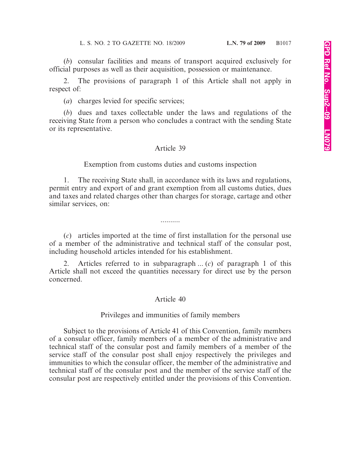(*b*) consular facilities and means of transport acquired exclusively for official purposes as well as their acquisition, possession or maintenance.

2. The provisions of paragraph 1 of this Article shall not apply in respect of:

(*a*) charges levied for specific services;

(*b*) dues and taxes collectable under the laws and regulations of the receiving State from a person who concludes a contract with the sending State or its representative.

#### Article 39

Exemption from customs duties and customs inspection

1. The receiving State shall, in accordance with its laws and regulations, permit entry and export of and grant exemption from all customs duties, dues and taxes and related charges other than charges for storage, cartage and other similar services, on:

(*c*) articles imported at the time of first installation for the personal use of a member of the administrative and technical staff of the consular post, including household articles intended for his establishment.

..........

2. Articles referred to in subparagraph ... (*c*) of paragraph 1 of this Article shall not exceed the quantities necessary for direct use by the person concerned.

#### Article 40

#### Privileges and immunities of family members

Subject to the provisions of Article 41 of this Convention, family members of a consular officer, family members of a member of the administrative and technical staff of the consular post and family members of a member of the service staff of the consular post shall enjoy respectively the privileges and immunities to which the consular officer, the member of the administrative and technical staff of the consular post and the member of the service staff of the consular post are respectively entitled under the provisions of this Convention.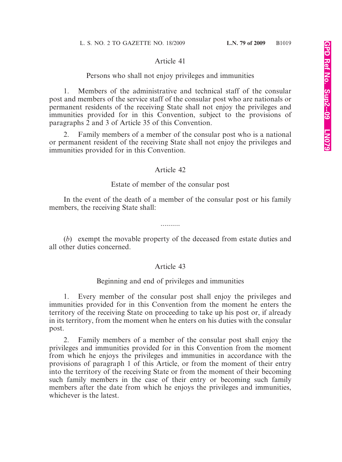## Article 41

## Persons who shall not enjoy privileges and immunities

1. Members of the administrative and technical staff of the consular post and members of the service staff of the consular post who are nationals or permanent residents of the receiving State shall not enjoy the privileges and immunities provided for in this Convention, subject to the provisions of paragraphs 2 and 3 of Article 35 of this Convention.

2. Family members of a member of the consular post who is a national or permanent resident of the receiving State shall not enjoy the privileges and immunities provided for in this Convention.

## Article 42

## Estate of member of the consular post

In the event of the death of a member of the consular post or his family members, the receiving State shall:

..........

(*b*) exempt the movable property of the deceased from estate duties and all other duties concerned.

## Article 43

## Beginning and end of privileges and immunities

1. Every member of the consular post shall enjoy the privileges and immunities provided for in this Convention from the moment he enters the territory of the receiving State on proceeding to take up his post or, if already in its territory, from the moment when he enters on his duties with the consular post.

2. Family members of a member of the consular post shall enjoy the privileges and immunities provided for in this Convention from the moment from which he enjoys the privileges and immunities in accordance with the provisions of paragraph 1 of this Article, or from the moment of their entry into the territory of the receiving State or from the moment of their becoming such family members in the case of their entry or becoming such family members after the date from which he enjoys the privileges and immunities, whichever is the latest.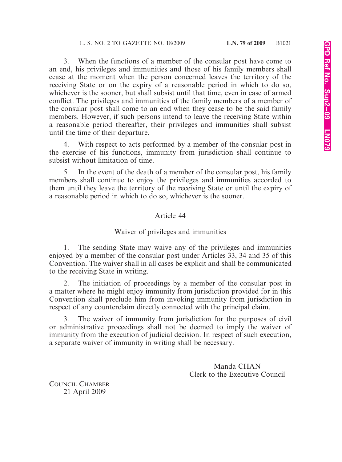3. When the functions of a member of the consular post have come to an end, his privileges and immunities and those of his family members shall cease at the moment when the person concerned leaves the territory of the receiving State or on the expiry of a reasonable period in which to do so, whichever is the sooner, but shall subsist until that time, even in case of armed conflict. The privileges and immunities of the family members of a member of the consular post shall come to an end when they cease to be the said family members. However, if such persons intend to leave the receiving State within a reasonable period thereafter, their privileges and immunities shall subsist until the time of their departure.

4. With respect to acts performed by a member of the consular post in the exercise of his functions, immunity from jurisdiction shall continue to subsist without limitation of time.

5. In the event of the death of a member of the consular post, his family members shall continue to enjoy the privileges and immunities accorded to them until they leave the territory of the receiving State or until the expiry of a reasonable period in which to do so, whichever is the sooner.

# Article 44

# Waiver of privileges and immunities

1. The sending State may waive any of the privileges and immunities enjoyed by a member of the consular post under Articles 33, 34 and 35 of this Convention. The waiver shall in all cases be explicit and shall be communicated to the receiving State in writing.

2. The initiation of proceedings by a member of the consular post in a matter where he might enjoy immunity from jurisdiction provided for in this Convention shall preclude him from invoking immunity from jurisdiction in respect of any counterclaim directly connected with the principal claim.

3. The waiver of immunity from jurisdiction for the purposes of civil or administrative proceedings shall not be deemed to imply the waiver of immunity from the execution of judicial decision. In respect of such execution, a separate waiver of immunity in writing shall be necessary.

> Manda CHAN Clerk to the Executive Council

COUNCIL CHAMBER 21 April 2009